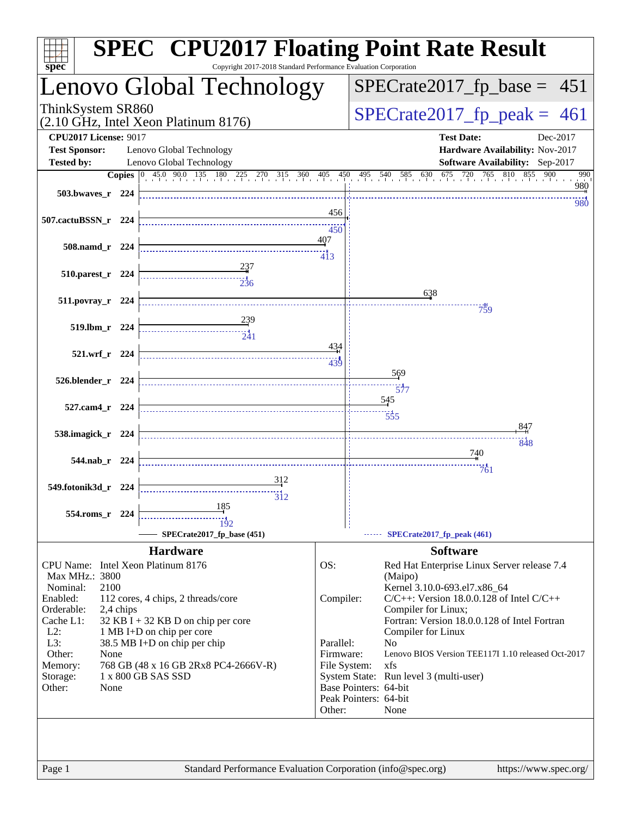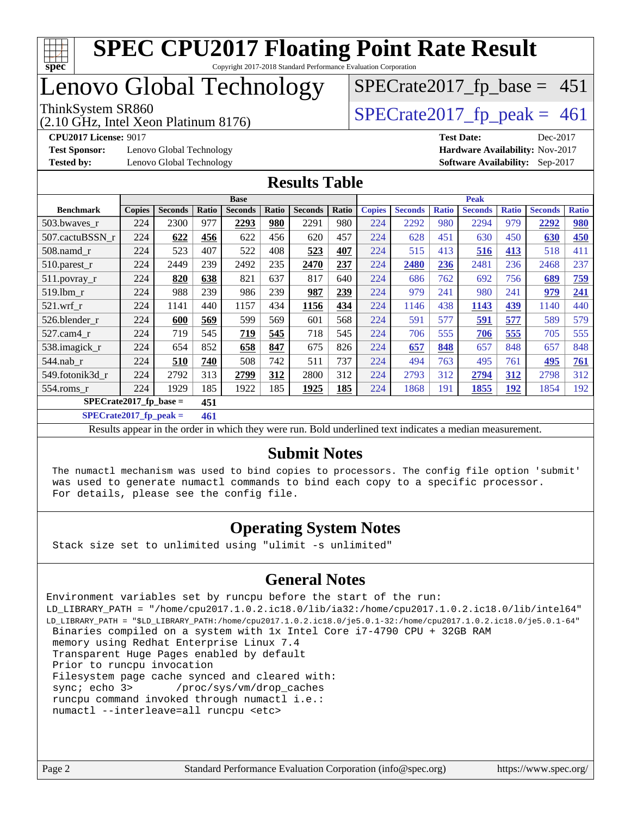

## Lenovo Global Technology

(2.10 GHz, Intel Xeon Platinum 8176)

ThinkSystem SR860<br>(2.10 GHz, Intel Xeon Platinum 8176)  $\begin{array}{r} | \text{SPECrate2017\_fp\_peak} = 461 \end{array}$ 

 $SPECTate2017_fp\_base = 451$ 

**[Test Sponsor:](http://www.spec.org/auto/cpu2017/Docs/result-fields.html#TestSponsor)** Lenovo Global Technology **[Hardware Availability:](http://www.spec.org/auto/cpu2017/Docs/result-fields.html#HardwareAvailability)** Nov-2017 **[Tested by:](http://www.spec.org/auto/cpu2017/Docs/result-fields.html#Testedby)** Lenovo Global Technology **[Software Availability:](http://www.spec.org/auto/cpu2017/Docs/result-fields.html#SoftwareAvailability)** Sep-2017

**[CPU2017 License:](http://www.spec.org/auto/cpu2017/Docs/result-fields.html#CPU2017License)** 9017 **[Test Date:](http://www.spec.org/auto/cpu2017/Docs/result-fields.html#TestDate)** Dec-2017

#### **[Results Table](http://www.spec.org/auto/cpu2017/Docs/result-fields.html#ResultsTable)**

|                           | <b>Base</b>   |                |       |                | <b>Peak</b> |                |       |               |                |              |                |              |                |              |
|---------------------------|---------------|----------------|-------|----------------|-------------|----------------|-------|---------------|----------------|--------------|----------------|--------------|----------------|--------------|
| <b>Benchmark</b>          | <b>Copies</b> | <b>Seconds</b> | Ratio | <b>Seconds</b> | Ratio       | <b>Seconds</b> | Ratio | <b>Copies</b> | <b>Seconds</b> | <b>Ratio</b> | <b>Seconds</b> | <b>Ratio</b> | <b>Seconds</b> | <b>Ratio</b> |
| 503.bwayes_r              | 224           | 2300           | 977   | 2293           | 980         | 2291           | 980   | 224           | 2292           | 980          | 2294           | 979          | 2292           | 980          |
| 507.cactuBSSN r           | 224           | 622            | 456   | 622            | 456         | 620            | 457   | 224           | 628            | 451          | 630            | 450          | 630            | 450          |
| $508$ .namd $_r$          | 224           | 523            | 407   | 522            | 408         | 523            | 407   | 224           | 515            | 413          | 516            | 413          | 518            | 411          |
| 510.parest_r              | 224           | 2449           | 239   | 2492           | 235         | 2470           | 237   | 224           | 2480           | 236          | 2481           | 236          | 2468           | 237          |
| 511.povray_r              | 224           | 820            | 638   | 821            | 637         | 817            | 640   | 224           | 686            | 762          | 692            | 756          | 689            | 759          |
| 519.1bm r                 | 224           | 988            | 239   | 986            | 239         | 987            | 239   | 224           | 979            | 241          | 980            | 241          | 979            | 241          |
| $521$ .wrf r              | 224           | 1141           | 440   | 1157           | 434         | 1156           | 434   | 224           | 1146           | 438          | 1143           | 439          | 1140           | 440          |
| 526.blender r             | 224           | 600            | 569   | 599            | 569         | 601            | 568   | 224           | 591            | 577          | 591            | 577          | 589            | 579          |
| $527.cam4_r$              | 224           | 719            | 545   | 719            | 545         | 718            | 545   | 224           | 706            | 555          | 706            | 555          | 705            | 555          |
| 538.imagick_r             | 224           | 654            | 852   | 658            | 847         | 675            | 826   | 224           | 657            | 848          | 657            | 848          | 657            | 848          |
| $544$ .nab r              | 224           | 510            | 740   | 508            | 742         | 511            | 737   | 224           | 494            | 763          | 495            | 761          | 495            | 761          |
| 549.fotonik3d r           | 224           | 2792           | 313   | 2799           | 312         | 2800           | 312   | 224           | 2793           | 312          | 2794           | 312          | 2798           | 312          |
| $554$ .roms $r$           | 224           | 1929           | 185   | 1922           | 185         | 1925           | 185   | 224           | 1868           | 191          | 1855           | 192          | 1854           | 192          |
| $SPECrate2017_fp\_base =$ |               |                | 451   |                |             |                |       |               |                |              |                |              |                |              |

**[SPECrate2017\\_fp\\_peak =](http://www.spec.org/auto/cpu2017/Docs/result-fields.html#SPECrate2017fppeak) 461**

Results appear in the [order in which they were run](http://www.spec.org/auto/cpu2017/Docs/result-fields.html#RunOrder). Bold underlined text [indicates a median measurement](http://www.spec.org/auto/cpu2017/Docs/result-fields.html#Median).

#### **[Submit Notes](http://www.spec.org/auto/cpu2017/Docs/result-fields.html#SubmitNotes)**

 The numactl mechanism was used to bind copies to processors. The config file option 'submit' was used to generate numactl commands to bind each copy to a specific processor. For details, please see the config file.

#### **[Operating System Notes](http://www.spec.org/auto/cpu2017/Docs/result-fields.html#OperatingSystemNotes)**

Stack size set to unlimited using "ulimit -s unlimited"

#### **[General Notes](http://www.spec.org/auto/cpu2017/Docs/result-fields.html#GeneralNotes)**

Environment variables set by runcpu before the start of the run: LD\_LIBRARY\_PATH = "/home/cpu2017.1.0.2.ic18.0/lib/ia32:/home/cpu2017.1.0.2.ic18.0/lib/intel64" LD\_LIBRARY\_PATH = "\$LD\_LIBRARY\_PATH:/home/cpu2017.1.0.2.ic18.0/je5.0.1-32:/home/cpu2017.1.0.2.ic18.0/je5.0.1-64" Binaries compiled on a system with 1x Intel Core i7-4790 CPU + 32GB RAM memory using Redhat Enterprise Linux 7.4 Transparent Huge Pages enabled by default Prior to runcpu invocation Filesystem page cache synced and cleared with: sync; echo 3> /proc/sys/vm/drop\_caches runcpu command invoked through numactl i.e.: numactl --interleave=all runcpu <etc>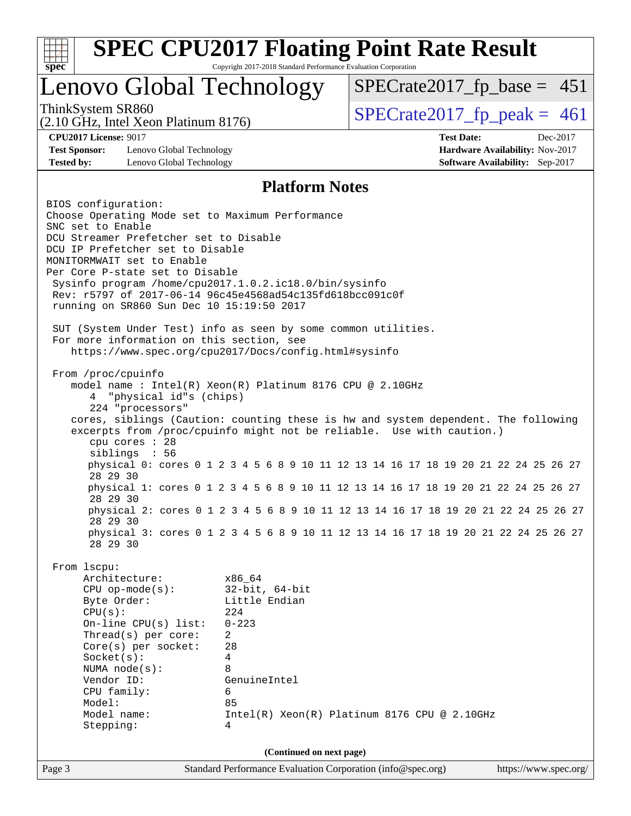

Page 3 Standard Performance Evaluation Corporation [\(info@spec.org\)](mailto:info@spec.org) <https://www.spec.org/>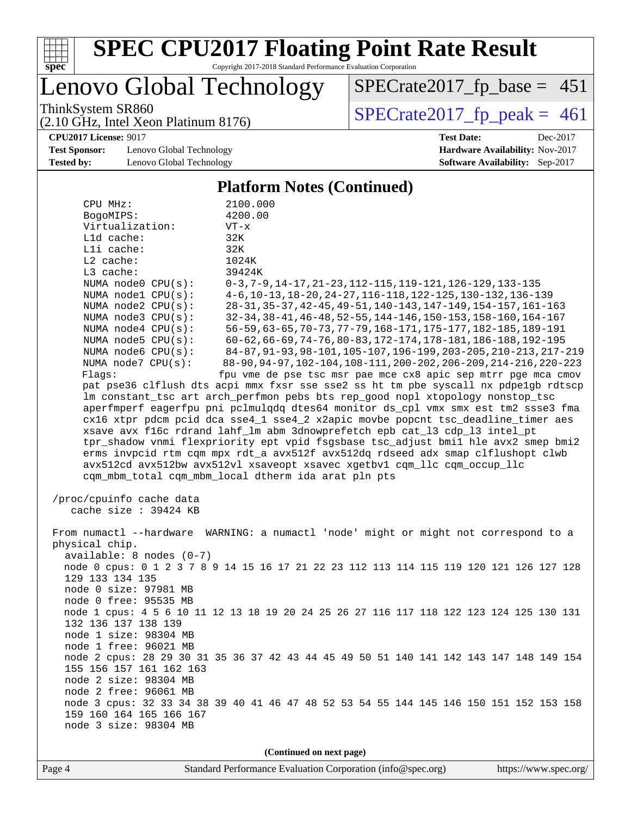

Copyright 2017-2018 Standard Performance Evaluation Corporation

Lenovo Global Technology

ThinkSystem SR860<br>(2.10 GHz, Intel Xeon Platinum 8176) [SPECrate2017\\_fp\\_peak =](http://www.spec.org/auto/cpu2017/Docs/result-fields.html#SPECrate2017fppeak) 461

 $SPECTate2017_fp\_base = 451$ 

(2.10 GHz, Intel Xeon Platinum 8176)

**[Test Sponsor:](http://www.spec.org/auto/cpu2017/Docs/result-fields.html#TestSponsor)** Lenovo Global Technology **[Hardware Availability:](http://www.spec.org/auto/cpu2017/Docs/result-fields.html#HardwareAvailability)** Nov-2017 **[Tested by:](http://www.spec.org/auto/cpu2017/Docs/result-fields.html#Testedby)** Lenovo Global Technology **[Software Availability:](http://www.spec.org/auto/cpu2017/Docs/result-fields.html#SoftwareAvailability)** Sep-2017

**[CPU2017 License:](http://www.spec.org/auto/cpu2017/Docs/result-fields.html#CPU2017License)** 9017 **[Test Date:](http://www.spec.org/auto/cpu2017/Docs/result-fields.html#TestDate)** Dec-2017

#### **[Platform Notes \(Continued\)](http://www.spec.org/auto/cpu2017/Docs/result-fields.html#PlatformNotes)** CPU MHz: 2100.000 BogoMIPS: 4200.00<br>Virtualization: VT-x Virtualization: L1d cache: 32K L1i cache: 32K L2 cache: 1024K L3 cache: 39424K NUMA node0 CPU(s): 0-3,7-9,14-17,21-23,112-115,119-121,126-129,133-135 NUMA node1 CPU(s): 4-6,10-13,18-20,24-27,116-118,122-125,130-132,136-139 NUMA node2 CPU(s): 28-31,35-37,42-45,49-51,140-143,147-149,154-157,161-163 NUMA node3 CPU(s): 32-34,38-41,46-48,52-55,144-146,150-153,158-160,164-167 NUMA node4 CPU(s): 56-59,63-65,70-73,77-79,168-171,175-177,182-185,189-191 NUMA node5 CPU(s): 60-62,66-69,74-76,80-83,172-174,178-181,186-188,192-195 NUMA node6 CPU(s): 84-87,91-93,98-101,105-107,196-199,203-205,210-213,217-219 NUMA node7 CPU(s): 88-90,94-97,102-104,108-111,200-202,206-209,214-216,220-223 Flags: fpu vme de pse tsc msr pae mce cx8 apic sep mtrr pge mca cmov pat pse36 clflush dts acpi mmx fxsr sse sse2 ss ht tm pbe syscall nx pdpe1gb rdtscp lm constant\_tsc art arch\_perfmon pebs bts rep\_good nopl xtopology nonstop\_tsc aperfmperf eagerfpu pni pclmulqdq dtes64 monitor ds\_cpl vmx smx est tm2 ssse3 fma cx16 xtpr pdcm pcid dca sse4\_1 sse4\_2 x2apic movbe popcnt tsc\_deadline\_timer aes xsave avx f16c rdrand lahf\_lm abm 3dnowprefetch epb cat\_l3 cdp\_l3 intel\_pt tpr\_shadow vnmi flexpriority ept vpid fsgsbase tsc\_adjust bmi1 hle avx2 smep bmi2 erms invpcid rtm cqm mpx rdt\_a avx512f avx512dq rdseed adx smap clflushopt clwb avx512cd avx512bw avx512vl xsaveopt xsavec xgetbv1 cqm\_llc cqm\_occup\_llc cqm\_mbm\_total cqm\_mbm\_local dtherm ida arat pln pts /proc/cpuinfo cache data cache size : 39424 KB

 From numactl --hardware WARNING: a numactl 'node' might or might not correspond to a physical chip. available: 8 nodes (0-7) node 0 cpus: 0 1 2 3 7 8 9 14 15 16 17 21 22 23 112 113 114 115 119 120 121 126 127 128 129 133 134 135 node 0 size: 97981 MB node 0 free: 95535 MB node 1 cpus: 4 5 6 10 11 12 13 18 19 20 24 25 26 27 116 117 118 122 123 124 125 130 131 132 136 137 138 139 node 1 size: 98304 MB node 1 free: 96021 MB node 2 cpus: 28 29 30 31 35 36 37 42 43 44 45 49 50 51 140 141 142 143 147 148 149 154 155 156 157 161 162 163 node 2 size: 98304 MB node 2 free: 96061 MB node 3 cpus: 32 33 34 38 39 40 41 46 47 48 52 53 54 55 144 145 146 150 151 152 153 158 159 160 164 165 166 167 node 3 size: 98304 MB

**(Continued on next page)**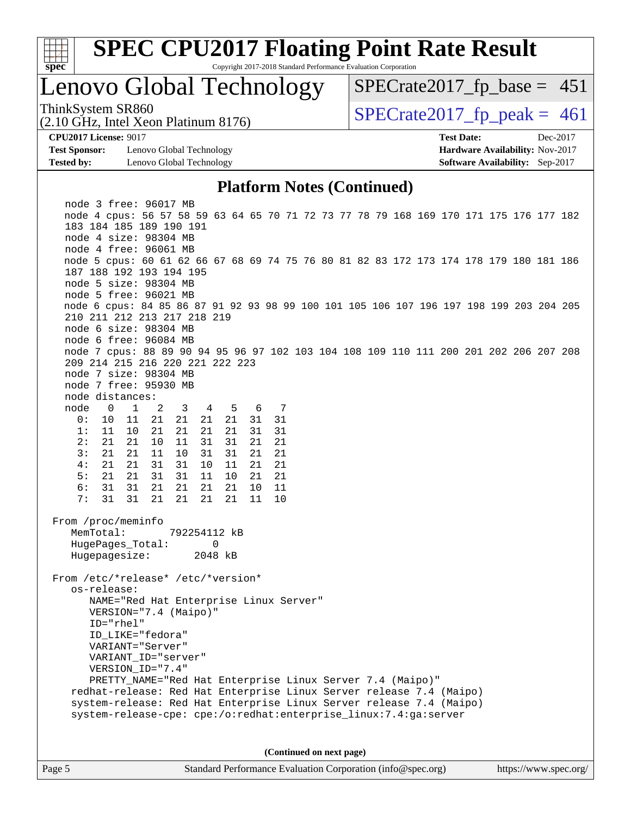

Copyright 2017-2018 Standard Performance Evaluation Corporation

## Lenovo Global Technology

ThinkSystem SR860<br>(2.10 GHz, Intel Xeon Platinum 8176) [SPECrate2017\\_fp\\_peak =](http://www.spec.org/auto/cpu2017/Docs/result-fields.html#SPECrate2017fppeak) 461

 $SPECTate2017_fp\_base = 451$ 

(2.10 GHz, Intel Xeon Platinum 8176)

**[Test Sponsor:](http://www.spec.org/auto/cpu2017/Docs/result-fields.html#TestSponsor)** Lenovo Global Technology **[Hardware Availability:](http://www.spec.org/auto/cpu2017/Docs/result-fields.html#HardwareAvailability)** Nov-2017 **[Tested by:](http://www.spec.org/auto/cpu2017/Docs/result-fields.html#Testedby)** Lenovo Global Technology **[Software Availability:](http://www.spec.org/auto/cpu2017/Docs/result-fields.html#SoftwareAvailability)** Sep-2017

**[CPU2017 License:](http://www.spec.org/auto/cpu2017/Docs/result-fields.html#CPU2017License)** 9017 **[Test Date:](http://www.spec.org/auto/cpu2017/Docs/result-fields.html#TestDate)** Dec-2017

#### **[Platform Notes \(Continued\)](http://www.spec.org/auto/cpu2017/Docs/result-fields.html#PlatformNotes)**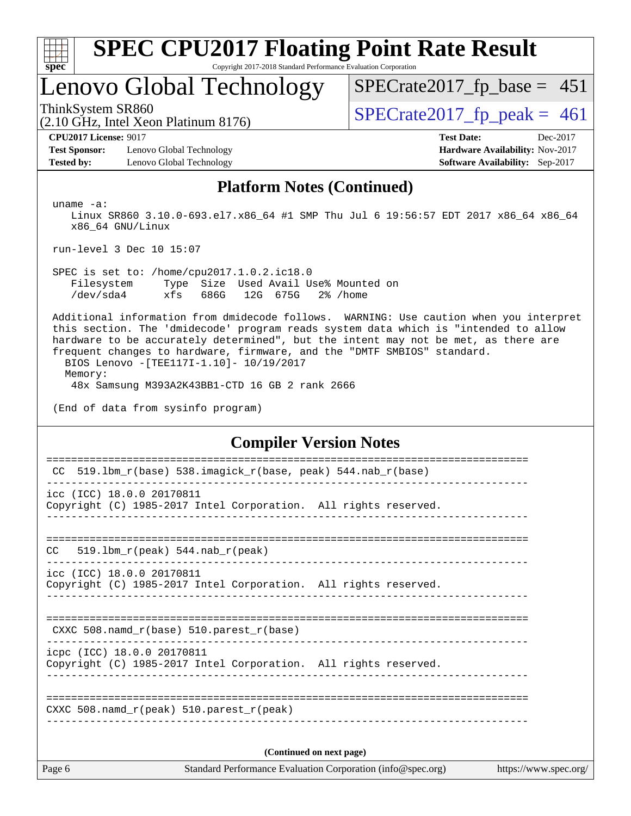

Copyright 2017-2018 Standard Performance Evaluation Corporation

## Lenovo Global Technology

ThinkSystem SR860<br>(2.10 GHz, Intel Xeon Platinum 8176)  $\begin{array}{r} | \text{SPECrate2017\_fp\_peak} = 461 \end{array}$ 

 $SPECTate2017_fp\_base = 451$ 

(2.10 GHz, Intel Xeon Platinum 8176)

**[Test Sponsor:](http://www.spec.org/auto/cpu2017/Docs/result-fields.html#TestSponsor)** Lenovo Global Technology **[Hardware Availability:](http://www.spec.org/auto/cpu2017/Docs/result-fields.html#HardwareAvailability)** Nov-2017 **[Tested by:](http://www.spec.org/auto/cpu2017/Docs/result-fields.html#Testedby)** Lenovo Global Technology **[Software Availability:](http://www.spec.org/auto/cpu2017/Docs/result-fields.html#SoftwareAvailability)** Sep-2017

**[CPU2017 License:](http://www.spec.org/auto/cpu2017/Docs/result-fields.html#CPU2017License)** 9017 **[Test Date:](http://www.spec.org/auto/cpu2017/Docs/result-fields.html#TestDate)** Dec-2017

#### **[Platform Notes \(Continued\)](http://www.spec.org/auto/cpu2017/Docs/result-fields.html#PlatformNotes)**

uname -a:

 Linux SR860 3.10.0-693.el7.x86\_64 #1 SMP Thu Jul 6 19:56:57 EDT 2017 x86\_64 x86\_64 x86\_64 GNU/Linux

run-level 3 Dec 10 15:07

 SPEC is set to: /home/cpu2017.1.0.2.ic18.0 Filesystem Type Size Used Avail Use% Mounted on /dev/sda4 xfs 686G 12G 675G 2% /home

 Additional information from dmidecode follows. WARNING: Use caution when you interpret this section. The 'dmidecode' program reads system data which is "intended to allow hardware to be accurately determined", but the intent may not be met, as there are frequent changes to hardware, firmware, and the "DMTF SMBIOS" standard. BIOS Lenovo -[TEE117I-1.10]- 10/19/2017 Memory:

48x Samsung M393A2K43BB1-CTD 16 GB 2 rank 2666

(End of data from sysinfo program)

#### **[Compiler Version Notes](http://www.spec.org/auto/cpu2017/Docs/result-fields.html#CompilerVersionNotes)**

| Page 6                                                       | Standard Performance Evaluation Corporation (info@spec.org)     | https://www.spec.org/ |  |  |  |
|--------------------------------------------------------------|-----------------------------------------------------------------|-----------------------|--|--|--|
| (Continued on next page)                                     |                                                                 |                       |  |  |  |
| CXXC 508. namd $r(\text{peak})$ 510. parest $r(\text{peak})$ |                                                                 |                       |  |  |  |
|                                                              |                                                                 |                       |  |  |  |
| icpc (ICC) 18.0.0 20170811                                   | Copyright (C) 1985-2017 Intel Corporation. All rights reserved. |                       |  |  |  |
| CXXC 508. namd $r(base)$ 510. parest $r(base)$               |                                                                 |                       |  |  |  |
|                                                              | Copyright (C) 1985-2017 Intel Corporation. All rights reserved. |                       |  |  |  |
| icc (ICC) 18.0.0 20170811                                    |                                                                 |                       |  |  |  |
| 519.1bm $r(\text{peak})$ 544.nab $r(\text{peak})$<br>CC.     |                                                                 |                       |  |  |  |
|                                                              | Copyright (C) 1985-2017 Intel Corporation. All rights reserved. |                       |  |  |  |
| icc (ICC) 18.0.0 20170811                                    |                                                                 |                       |  |  |  |
| CC                                                           | 519.1bm_r(base) 538.imagick_r(base, peak) 544.nab_r(base)       |                       |  |  |  |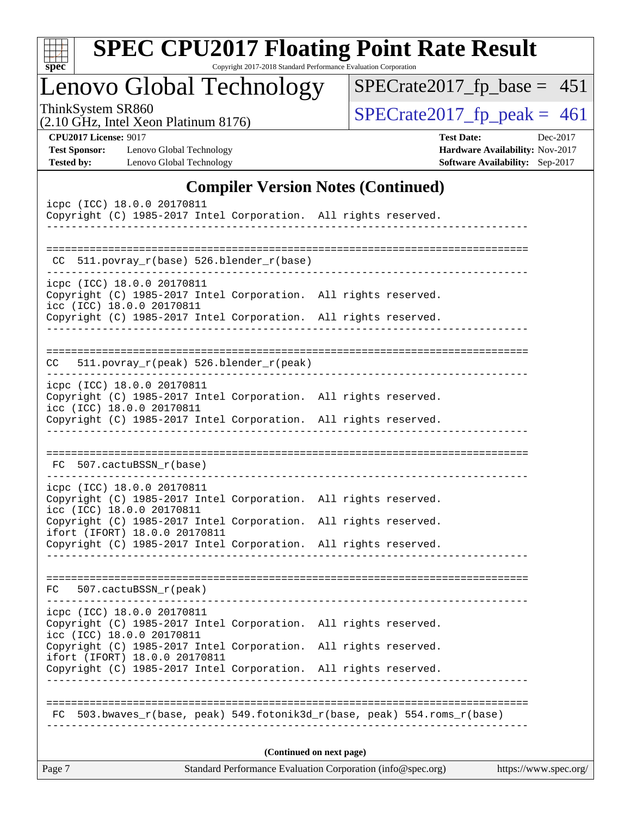| Sı<br>D<br>æ<br>Ľ |  |  |  |  |  |  |
|-------------------|--|--|--|--|--|--|

Copyright 2017-2018 Standard Performance Evaluation Corporation

Lenovo Global Technology

ThinkSystem SR860<br>
(2.10 GHz, Intel Xeon Platinum 8176) [SPECrate2017\\_fp\\_peak =](http://www.spec.org/auto/cpu2017/Docs/result-fields.html#SPECrate2017fppeak) 461

[SPECrate2017\\_fp\\_base =](http://www.spec.org/auto/cpu2017/Docs/result-fields.html#SPECrate2017fpbase) 451

(2.10 GHz, Intel Xeon Platinum 8176)

**[CPU2017 License:](http://www.spec.org/auto/cpu2017/Docs/result-fields.html#CPU2017License)** 9017 **[Test Date:](http://www.spec.org/auto/cpu2017/Docs/result-fields.html#TestDate)** Dec-2017 **[Test Sponsor:](http://www.spec.org/auto/cpu2017/Docs/result-fields.html#TestSponsor)** Lenovo Global Technology **[Hardware Availability:](http://www.spec.org/auto/cpu2017/Docs/result-fields.html#HardwareAvailability)** Nov-2017 **[Tested by:](http://www.spec.org/auto/cpu2017/Docs/result-fields.html#Testedby)** Lenovo Global Technology **[Software Availability:](http://www.spec.org/auto/cpu2017/Docs/result-fields.html#SoftwareAvailability)** Sep-2017

#### **[Compiler Version Notes \(Continued\)](http://www.spec.org/auto/cpu2017/Docs/result-fields.html#CompilerVersionNotes)**

| icpc (ICC) 18.0.0 20170811<br>Copyright (C) 1985-2017 Intel Corporation. All rights reserved.                              |             |                          |  |
|----------------------------------------------------------------------------------------------------------------------------|-------------|--------------------------|--|
|                                                                                                                            |             |                          |  |
| CC 511.povray_r(base) 526.blender_r(base)                                                                                  |             |                          |  |
| icpc (ICC) 18.0.0 20170811                                                                                                 |             |                          |  |
| Copyright (C) 1985-2017 Intel Corporation. All rights reserved.<br>icc (ICC) 18.0.0 20170811                               |             |                          |  |
| Copyright (C) 1985-2017 Intel Corporation. All rights reserved.                                                            |             |                          |  |
| 511.povray_r(peak) 526.blender_r(peak)<br>CC                                                                               |             |                          |  |
|                                                                                                                            |             |                          |  |
| icpc (ICC) 18.0.0 20170811<br>Copyright (C) 1985-2017 Intel Corporation. All rights reserved.<br>icc (ICC) 18.0.0 20170811 |             |                          |  |
| Copyright (C) 1985-2017 Intel Corporation. All rights reserved.                                                            |             |                          |  |
|                                                                                                                            |             |                          |  |
| FC 507.cactuBSSN_r(base)                                                                                                   |             |                          |  |
| icpc (ICC) 18.0.0 20170811                                                                                                 |             |                          |  |
| Copyright (C) 1985-2017 Intel Corporation. All rights reserved.<br>icc (ICC) 18.0.0 20170811                               |             |                          |  |
| Copyright (C) 1985-2017 Intel Corporation. All rights reserved.<br>ifort (IFORT) 18.0.0 20170811                           |             |                          |  |
| Copyright (C) 1985-2017 Intel Corporation. All rights reserved.                                                            |             |                          |  |
| FC 507.cactuBSSN_r(peak)                                                                                                   |             |                          |  |
| icpc (ICC) 18.0.0 20170811                                                                                                 |             |                          |  |
| Copyright (C) 1985-2017 Intel Corporation. All rights reserved.<br>icc (ICC) 18.0.0 20170811                               |             |                          |  |
| Copyright (C) 1985-2017 Intel Corporation. All rights reserved.<br>ifort (IFORT) 18.0.0 20170811                           |             |                          |  |
| Copyright (C) 1985-2017 Intel Corporation. All rights reserved.                                                            | ----------- |                          |  |
|                                                                                                                            |             |                          |  |
| 503.bwaves r(base, peak) 549.fotonik3d r(base, peak) 554.roms r(base)<br>FC.                                               |             | -----------------------  |  |
|                                                                                                                            |             |                          |  |
|                                                                                                                            |             | (Continued on next page) |  |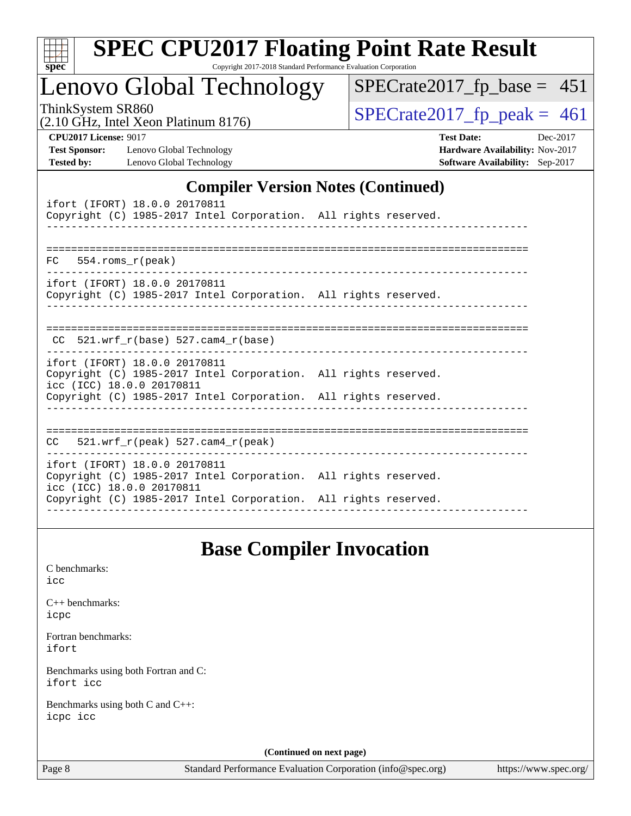| S.<br>De<br>ι. |  |  |  |  |  |
|----------------|--|--|--|--|--|

Copyright 2017-2018 Standard Performance Evaluation Corporation

## Lenovo Global Technology

ThinkSystem SR860<br>(2.10 GHz, Intel Xeon Platinum 8176)  $\vert$  [SPECrate2017\\_fp\\_peak =](http://www.spec.org/auto/cpu2017/Docs/result-fields.html#SPECrate2017fppeak) 461

[SPECrate2017\\_fp\\_base =](http://www.spec.org/auto/cpu2017/Docs/result-fields.html#SPECrate2017fpbase) 451

(2.10 GHz, Intel Xeon Platinum 8176)

**[CPU2017 License:](http://www.spec.org/auto/cpu2017/Docs/result-fields.html#CPU2017License)** 9017 **[Test Date:](http://www.spec.org/auto/cpu2017/Docs/result-fields.html#TestDate)** Dec-2017 **[Test Sponsor:](http://www.spec.org/auto/cpu2017/Docs/result-fields.html#TestSponsor)** Lenovo Global Technology **[Hardware Availability:](http://www.spec.org/auto/cpu2017/Docs/result-fields.html#HardwareAvailability)** Nov-2017 **[Tested by:](http://www.spec.org/auto/cpu2017/Docs/result-fields.html#Testedby)** Lenovo Global Technology **[Software Availability:](http://www.spec.org/auto/cpu2017/Docs/result-fields.html#SoftwareAvailability)** Sep-2017

#### **[Compiler Version Notes \(Continued\)](http://www.spec.org/auto/cpu2017/Docs/result-fields.html#CompilerVersionNotes)**

| ifort (IFORT) 18.0.0 20170811<br>Copyright (C) 1985-2017 Intel Corporation. All rights reserved.                              |  |
|-------------------------------------------------------------------------------------------------------------------------------|--|
|                                                                                                                               |  |
| $FC$ 554. roms $r$ (peak)                                                                                                     |  |
| ifort (IFORT) 18.0.0 20170811<br>Copyright (C) 1985-2017 Intel Corporation. All rights reserved.                              |  |
| $CC$ 521.wrf $r(base)$ 527.cam4 $r(base)$<br>. _ _ _ _ _ _ _ _ _ _ _ _ _                                                      |  |
| ifort (IFORT) 18.0.0 20170811<br>Copyright (C) 1985-2017 Intel Corporation. All rights reserved.<br>icc (ICC) 18.0.0 20170811 |  |
| Copyright (C) 1985-2017 Intel Corporation. All rights reserved.                                                               |  |
| $CC = 521.wrf_r(peak) 527.cam4_r(peak)$                                                                                       |  |
| ifort (IFORT) 18.0.0 20170811<br>Copyright (C) 1985-2017 Intel Corporation. All rights reserved.<br>icc (ICC) 18.0.0 20170811 |  |
| Copyright (C) 1985-2017 Intel Corporation. All rights reserved.                                                               |  |

### **[Base Compiler Invocation](http://www.spec.org/auto/cpu2017/Docs/result-fields.html#BaseCompilerInvocation)**

[C benchmarks](http://www.spec.org/auto/cpu2017/Docs/result-fields.html#Cbenchmarks):

[icc](http://www.spec.org/cpu2017/results/res2017q4/cpu2017-20171212-01596.flags.html#user_CCbase_intel_icc_18.0_66fc1ee009f7361af1fbd72ca7dcefbb700085f36577c54f309893dd4ec40d12360134090235512931783d35fd58c0460139e722d5067c5574d8eaf2b3e37e92)

| $C_{++}$ benchmarks: |  |
|----------------------|--|
| icpc                 |  |

[Fortran benchmarks](http://www.spec.org/auto/cpu2017/Docs/result-fields.html#Fortranbenchmarks): [ifort](http://www.spec.org/cpu2017/results/res2017q4/cpu2017-20171212-01596.flags.html#user_FCbase_intel_ifort_18.0_8111460550e3ca792625aed983ce982f94888b8b503583aa7ba2b8303487b4d8a21a13e7191a45c5fd58ff318f48f9492884d4413fa793fd88dd292cad7027ca)

[Benchmarks using both Fortran and C](http://www.spec.org/auto/cpu2017/Docs/result-fields.html#BenchmarksusingbothFortranandC): [ifort](http://www.spec.org/cpu2017/results/res2017q4/cpu2017-20171212-01596.flags.html#user_CC_FCbase_intel_ifort_18.0_8111460550e3ca792625aed983ce982f94888b8b503583aa7ba2b8303487b4d8a21a13e7191a45c5fd58ff318f48f9492884d4413fa793fd88dd292cad7027ca) [icc](http://www.spec.org/cpu2017/results/res2017q4/cpu2017-20171212-01596.flags.html#user_CC_FCbase_intel_icc_18.0_66fc1ee009f7361af1fbd72ca7dcefbb700085f36577c54f309893dd4ec40d12360134090235512931783d35fd58c0460139e722d5067c5574d8eaf2b3e37e92)

[Benchmarks using both C and C++](http://www.spec.org/auto/cpu2017/Docs/result-fields.html#BenchmarksusingbothCandCXX): [icpc](http://www.spec.org/cpu2017/results/res2017q4/cpu2017-20171212-01596.flags.html#user_CC_CXXbase_intel_icpc_18.0_c510b6838c7f56d33e37e94d029a35b4a7bccf4766a728ee175e80a419847e808290a9b78be685c44ab727ea267ec2f070ec5dc83b407c0218cded6866a35d07) [icc](http://www.spec.org/cpu2017/results/res2017q4/cpu2017-20171212-01596.flags.html#user_CC_CXXbase_intel_icc_18.0_66fc1ee009f7361af1fbd72ca7dcefbb700085f36577c54f309893dd4ec40d12360134090235512931783d35fd58c0460139e722d5067c5574d8eaf2b3e37e92)

**(Continued on next page)**

Page 8 Standard Performance Evaluation Corporation [\(info@spec.org\)](mailto:info@spec.org) <https://www.spec.org/>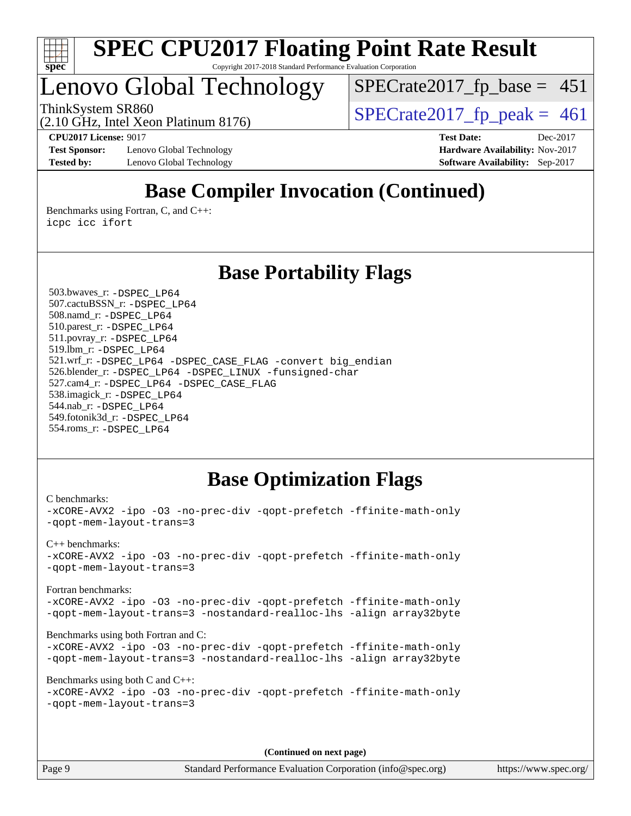

## Lenovo Global Technology

 $SPECTate2017_fp\_base = 451$ 

(2.10 GHz, Intel Xeon Platinum 8176)

ThinkSystem SR860<br>(2.10 GHz, Intel Xeon Platinum 8176) [SPECrate2017\\_fp\\_peak =](http://www.spec.org/auto/cpu2017/Docs/result-fields.html#SPECrate2017fppeak) 461

**[Test Sponsor:](http://www.spec.org/auto/cpu2017/Docs/result-fields.html#TestSponsor)** Lenovo Global Technology **[Hardware Availability:](http://www.spec.org/auto/cpu2017/Docs/result-fields.html#HardwareAvailability)** Nov-2017 **[Tested by:](http://www.spec.org/auto/cpu2017/Docs/result-fields.html#Testedby)** Lenovo Global Technology **[Software Availability:](http://www.spec.org/auto/cpu2017/Docs/result-fields.html#SoftwareAvailability)** Sep-2017

**[CPU2017 License:](http://www.spec.org/auto/cpu2017/Docs/result-fields.html#CPU2017License)** 9017 **[Test Date:](http://www.spec.org/auto/cpu2017/Docs/result-fields.html#TestDate)** Dec-2017

## **[Base Compiler Invocation \(Continued\)](http://www.spec.org/auto/cpu2017/Docs/result-fields.html#BaseCompilerInvocation)**

[Benchmarks using Fortran, C, and C++:](http://www.spec.org/auto/cpu2017/Docs/result-fields.html#BenchmarksusingFortranCandCXX) [icpc](http://www.spec.org/cpu2017/results/res2017q4/cpu2017-20171212-01596.flags.html#user_CC_CXX_FCbase_intel_icpc_18.0_c510b6838c7f56d33e37e94d029a35b4a7bccf4766a728ee175e80a419847e808290a9b78be685c44ab727ea267ec2f070ec5dc83b407c0218cded6866a35d07) [icc](http://www.spec.org/cpu2017/results/res2017q4/cpu2017-20171212-01596.flags.html#user_CC_CXX_FCbase_intel_icc_18.0_66fc1ee009f7361af1fbd72ca7dcefbb700085f36577c54f309893dd4ec40d12360134090235512931783d35fd58c0460139e722d5067c5574d8eaf2b3e37e92) [ifort](http://www.spec.org/cpu2017/results/res2017q4/cpu2017-20171212-01596.flags.html#user_CC_CXX_FCbase_intel_ifort_18.0_8111460550e3ca792625aed983ce982f94888b8b503583aa7ba2b8303487b4d8a21a13e7191a45c5fd58ff318f48f9492884d4413fa793fd88dd292cad7027ca)

### **[Base Portability Flags](http://www.spec.org/auto/cpu2017/Docs/result-fields.html#BasePortabilityFlags)**

 503.bwaves\_r: [-DSPEC\\_LP64](http://www.spec.org/cpu2017/results/res2017q4/cpu2017-20171212-01596.flags.html#suite_basePORTABILITY503_bwaves_r_DSPEC_LP64) 507.cactuBSSN\_r: [-DSPEC\\_LP64](http://www.spec.org/cpu2017/results/res2017q4/cpu2017-20171212-01596.flags.html#suite_basePORTABILITY507_cactuBSSN_r_DSPEC_LP64) 508.namd\_r: [-DSPEC\\_LP64](http://www.spec.org/cpu2017/results/res2017q4/cpu2017-20171212-01596.flags.html#suite_basePORTABILITY508_namd_r_DSPEC_LP64) 510.parest\_r: [-DSPEC\\_LP64](http://www.spec.org/cpu2017/results/res2017q4/cpu2017-20171212-01596.flags.html#suite_basePORTABILITY510_parest_r_DSPEC_LP64) 511.povray\_r: [-DSPEC\\_LP64](http://www.spec.org/cpu2017/results/res2017q4/cpu2017-20171212-01596.flags.html#suite_basePORTABILITY511_povray_r_DSPEC_LP64) 519.lbm\_r: [-DSPEC\\_LP64](http://www.spec.org/cpu2017/results/res2017q4/cpu2017-20171212-01596.flags.html#suite_basePORTABILITY519_lbm_r_DSPEC_LP64) 521.wrf\_r: [-DSPEC\\_LP64](http://www.spec.org/cpu2017/results/res2017q4/cpu2017-20171212-01596.flags.html#suite_basePORTABILITY521_wrf_r_DSPEC_LP64) [-DSPEC\\_CASE\\_FLAG](http://www.spec.org/cpu2017/results/res2017q4/cpu2017-20171212-01596.flags.html#b521.wrf_r_baseCPORTABILITY_DSPEC_CASE_FLAG) [-convert big\\_endian](http://www.spec.org/cpu2017/results/res2017q4/cpu2017-20171212-01596.flags.html#user_baseFPORTABILITY521_wrf_r_convert_big_endian_c3194028bc08c63ac5d04de18c48ce6d347e4e562e8892b8bdbdc0214820426deb8554edfa529a3fb25a586e65a3d812c835984020483e7e73212c4d31a38223) 526.blender\_r: [-DSPEC\\_LP64](http://www.spec.org/cpu2017/results/res2017q4/cpu2017-20171212-01596.flags.html#suite_basePORTABILITY526_blender_r_DSPEC_LP64) [-DSPEC\\_LINUX](http://www.spec.org/cpu2017/results/res2017q4/cpu2017-20171212-01596.flags.html#b526.blender_r_baseCPORTABILITY_DSPEC_LINUX) [-funsigned-char](http://www.spec.org/cpu2017/results/res2017q4/cpu2017-20171212-01596.flags.html#user_baseCPORTABILITY526_blender_r_force_uchar_40c60f00ab013830e2dd6774aeded3ff59883ba5a1fc5fc14077f794d777847726e2a5858cbc7672e36e1b067e7e5c1d9a74f7176df07886a243d7cc18edfe67) 527.cam4\_r: [-DSPEC\\_LP64](http://www.spec.org/cpu2017/results/res2017q4/cpu2017-20171212-01596.flags.html#suite_basePORTABILITY527_cam4_r_DSPEC_LP64) [-DSPEC\\_CASE\\_FLAG](http://www.spec.org/cpu2017/results/res2017q4/cpu2017-20171212-01596.flags.html#b527.cam4_r_baseCPORTABILITY_DSPEC_CASE_FLAG) 538.imagick\_r: [-DSPEC\\_LP64](http://www.spec.org/cpu2017/results/res2017q4/cpu2017-20171212-01596.flags.html#suite_basePORTABILITY538_imagick_r_DSPEC_LP64) 544.nab\_r: [-DSPEC\\_LP64](http://www.spec.org/cpu2017/results/res2017q4/cpu2017-20171212-01596.flags.html#suite_basePORTABILITY544_nab_r_DSPEC_LP64) 549.fotonik3d\_r: [-DSPEC\\_LP64](http://www.spec.org/cpu2017/results/res2017q4/cpu2017-20171212-01596.flags.html#suite_basePORTABILITY549_fotonik3d_r_DSPEC_LP64) 554.roms\_r: [-DSPEC\\_LP64](http://www.spec.org/cpu2017/results/res2017q4/cpu2017-20171212-01596.flags.html#suite_basePORTABILITY554_roms_r_DSPEC_LP64)

### **[Base Optimization Flags](http://www.spec.org/auto/cpu2017/Docs/result-fields.html#BaseOptimizationFlags)**

```
C benchmarks: 
-xCORE-AVX2 -ipo -O3 -no-prec-div -qopt-prefetch -ffinite-math-only
-qopt-mem-layout-trans=3
C++ benchmarks: 
-xCORE-AVX2 -ipo -O3 -no-prec-div -qopt-prefetch -ffinite-math-only
-qopt-mem-layout-trans=3
Fortran benchmarks: 
-xCORE-AVX2 -ipo -O3 -no-prec-div -qopt-prefetch -ffinite-math-only
-qopt-mem-layout-trans=3 -nostandard-realloc-lhs -align array32byte
Benchmarks using both Fortran and C: 
-xCORE-AVX2 -ipo -O3 -no-prec-div -qopt-prefetch -ffinite-math-only
-qopt-mem-layout-trans=3 -nostandard-realloc-lhs -align array32byte
Benchmarks using both C and C++: 
-xCORE-AVX2 -ipo -O3 -no-prec-div -qopt-prefetch -ffinite-math-only
-qopt-mem-layout-trans=3
```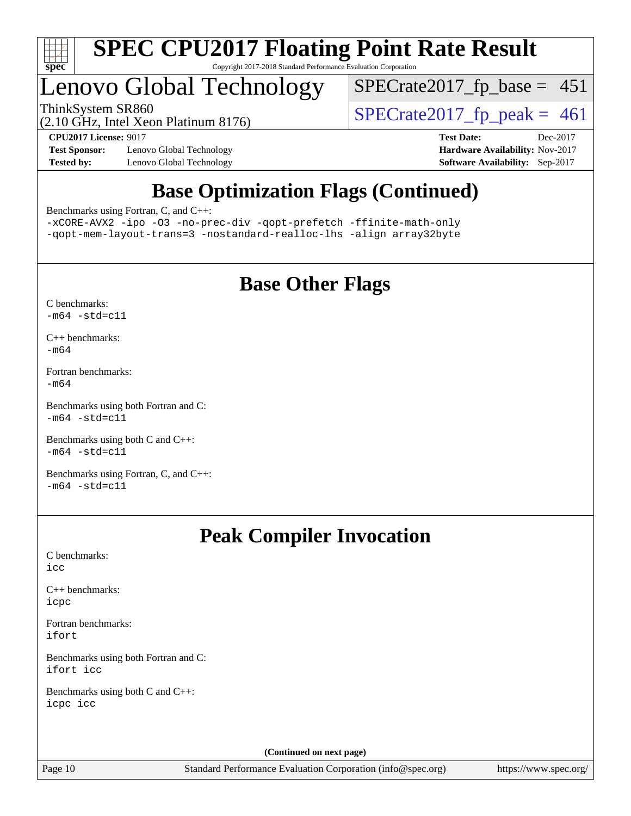

## Lenovo Global Technology

ThinkSystem SR860<br>(2.10 GHz, Intel Xeon Platinum 8176)  $\begin{array}{r} | \text{SPECrate2017\_fp\_peak} = 461 \end{array}$ 

 $SPECTate2017_fp\_base = 451$ 

(2.10 GHz, Intel Xeon Platinum 8176)

**[Test Sponsor:](http://www.spec.org/auto/cpu2017/Docs/result-fields.html#TestSponsor)** Lenovo Global Technology **[Hardware Availability:](http://www.spec.org/auto/cpu2017/Docs/result-fields.html#HardwareAvailability)** Nov-2017 **[Tested by:](http://www.spec.org/auto/cpu2017/Docs/result-fields.html#Testedby)** Lenovo Global Technology **[Software Availability:](http://www.spec.org/auto/cpu2017/Docs/result-fields.html#SoftwareAvailability)** Sep-2017

**[CPU2017 License:](http://www.spec.org/auto/cpu2017/Docs/result-fields.html#CPU2017License)** 9017 **[Test Date:](http://www.spec.org/auto/cpu2017/Docs/result-fields.html#TestDate)** Dec-2017

## **[Base Optimization Flags \(Continued\)](http://www.spec.org/auto/cpu2017/Docs/result-fields.html#BaseOptimizationFlags)**

[Benchmarks using Fortran, C, and C++:](http://www.spec.org/auto/cpu2017/Docs/result-fields.html#BenchmarksusingFortranCandCXX)

[-xCORE-AVX2](http://www.spec.org/cpu2017/results/res2017q4/cpu2017-20171212-01596.flags.html#user_CC_CXX_FCbase_f-xCORE-AVX2) [-ipo](http://www.spec.org/cpu2017/results/res2017q4/cpu2017-20171212-01596.flags.html#user_CC_CXX_FCbase_f-ipo) [-O3](http://www.spec.org/cpu2017/results/res2017q4/cpu2017-20171212-01596.flags.html#user_CC_CXX_FCbase_f-O3) [-no-prec-div](http://www.spec.org/cpu2017/results/res2017q4/cpu2017-20171212-01596.flags.html#user_CC_CXX_FCbase_f-no-prec-div) [-qopt-prefetch](http://www.spec.org/cpu2017/results/res2017q4/cpu2017-20171212-01596.flags.html#user_CC_CXX_FCbase_f-qopt-prefetch) [-ffinite-math-only](http://www.spec.org/cpu2017/results/res2017q4/cpu2017-20171212-01596.flags.html#user_CC_CXX_FCbase_f_finite_math_only_cb91587bd2077682c4b38af759c288ed7c732db004271a9512da14a4f8007909a5f1427ecbf1a0fb78ff2a814402c6114ac565ca162485bbcae155b5e4258871) [-qopt-mem-layout-trans=3](http://www.spec.org/cpu2017/results/res2017q4/cpu2017-20171212-01596.flags.html#user_CC_CXX_FCbase_f-qopt-mem-layout-trans_de80db37974c74b1f0e20d883f0b675c88c3b01e9d123adea9b28688d64333345fb62bc4a798493513fdb68f60282f9a726aa07f478b2f7113531aecce732043) [-nostandard-realloc-lhs](http://www.spec.org/cpu2017/results/res2017q4/cpu2017-20171212-01596.flags.html#user_CC_CXX_FCbase_f_2003_std_realloc_82b4557e90729c0f113870c07e44d33d6f5a304b4f63d4c15d2d0f1fab99f5daaed73bdb9275d9ae411527f28b936061aa8b9c8f2d63842963b95c9dd6426b8a) [-align array32byte](http://www.spec.org/cpu2017/results/res2017q4/cpu2017-20171212-01596.flags.html#user_CC_CXX_FCbase_align_array32byte_b982fe038af199962ba9a80c053b8342c548c85b40b8e86eb3cc33dee0d7986a4af373ac2d51c3f7cf710a18d62fdce2948f201cd044323541f22fc0fffc51b6)

## **[Base Other Flags](http://www.spec.org/auto/cpu2017/Docs/result-fields.html#BaseOtherFlags)**

[C benchmarks](http://www.spec.org/auto/cpu2017/Docs/result-fields.html#Cbenchmarks):  $-m64 - std= c11$  $-m64 - std= c11$ 

[C++ benchmarks:](http://www.spec.org/auto/cpu2017/Docs/result-fields.html#CXXbenchmarks) [-m64](http://www.spec.org/cpu2017/results/res2017q4/cpu2017-20171212-01596.flags.html#user_CXXbase_intel_intel64_18.0_af43caccfc8ded86e7699f2159af6efc7655f51387b94da716254467f3c01020a5059329e2569e4053f409e7c9202a7efc638f7a6d1ffb3f52dea4a3e31d82ab)

[Fortran benchmarks](http://www.spec.org/auto/cpu2017/Docs/result-fields.html#Fortranbenchmarks): [-m64](http://www.spec.org/cpu2017/results/res2017q4/cpu2017-20171212-01596.flags.html#user_FCbase_intel_intel64_18.0_af43caccfc8ded86e7699f2159af6efc7655f51387b94da716254467f3c01020a5059329e2569e4053f409e7c9202a7efc638f7a6d1ffb3f52dea4a3e31d82ab)

[Benchmarks using both Fortran and C](http://www.spec.org/auto/cpu2017/Docs/result-fields.html#BenchmarksusingbothFortranandC):  $-m64 - std= c11$  $-m64 - std= c11$ 

[Benchmarks using both C and C++](http://www.spec.org/auto/cpu2017/Docs/result-fields.html#BenchmarksusingbothCandCXX):  $-m64 - std= c11$  $-m64 - std= c11$ 

[Benchmarks using Fortran, C, and C++:](http://www.spec.org/auto/cpu2017/Docs/result-fields.html#BenchmarksusingFortranCandCXX)  $-m64 - std= c11$  $-m64 - std= c11$ 

## **[Peak Compiler Invocation](http://www.spec.org/auto/cpu2017/Docs/result-fields.html#PeakCompilerInvocation)**

[C benchmarks](http://www.spec.org/auto/cpu2017/Docs/result-fields.html#Cbenchmarks): [icc](http://www.spec.org/cpu2017/results/res2017q4/cpu2017-20171212-01596.flags.html#user_CCpeak_intel_icc_18.0_66fc1ee009f7361af1fbd72ca7dcefbb700085f36577c54f309893dd4ec40d12360134090235512931783d35fd58c0460139e722d5067c5574d8eaf2b3e37e92)

[C++ benchmarks:](http://www.spec.org/auto/cpu2017/Docs/result-fields.html#CXXbenchmarks) [icpc](http://www.spec.org/cpu2017/results/res2017q4/cpu2017-20171212-01596.flags.html#user_CXXpeak_intel_icpc_18.0_c510b6838c7f56d33e37e94d029a35b4a7bccf4766a728ee175e80a419847e808290a9b78be685c44ab727ea267ec2f070ec5dc83b407c0218cded6866a35d07)

[Fortran benchmarks](http://www.spec.org/auto/cpu2017/Docs/result-fields.html#Fortranbenchmarks): [ifort](http://www.spec.org/cpu2017/results/res2017q4/cpu2017-20171212-01596.flags.html#user_FCpeak_intel_ifort_18.0_8111460550e3ca792625aed983ce982f94888b8b503583aa7ba2b8303487b4d8a21a13e7191a45c5fd58ff318f48f9492884d4413fa793fd88dd292cad7027ca)

[Benchmarks using both Fortran and C](http://www.spec.org/auto/cpu2017/Docs/result-fields.html#BenchmarksusingbothFortranandC): [ifort](http://www.spec.org/cpu2017/results/res2017q4/cpu2017-20171212-01596.flags.html#user_CC_FCpeak_intel_ifort_18.0_8111460550e3ca792625aed983ce982f94888b8b503583aa7ba2b8303487b4d8a21a13e7191a45c5fd58ff318f48f9492884d4413fa793fd88dd292cad7027ca) [icc](http://www.spec.org/cpu2017/results/res2017q4/cpu2017-20171212-01596.flags.html#user_CC_FCpeak_intel_icc_18.0_66fc1ee009f7361af1fbd72ca7dcefbb700085f36577c54f309893dd4ec40d12360134090235512931783d35fd58c0460139e722d5067c5574d8eaf2b3e37e92)

[Benchmarks using both C and C++](http://www.spec.org/auto/cpu2017/Docs/result-fields.html#BenchmarksusingbothCandCXX): [icpc](http://www.spec.org/cpu2017/results/res2017q4/cpu2017-20171212-01596.flags.html#user_CC_CXXpeak_intel_icpc_18.0_c510b6838c7f56d33e37e94d029a35b4a7bccf4766a728ee175e80a419847e808290a9b78be685c44ab727ea267ec2f070ec5dc83b407c0218cded6866a35d07) [icc](http://www.spec.org/cpu2017/results/res2017q4/cpu2017-20171212-01596.flags.html#user_CC_CXXpeak_intel_icc_18.0_66fc1ee009f7361af1fbd72ca7dcefbb700085f36577c54f309893dd4ec40d12360134090235512931783d35fd58c0460139e722d5067c5574d8eaf2b3e37e92)

**(Continued on next page)**

Page 10 Standard Performance Evaluation Corporation [\(info@spec.org\)](mailto:info@spec.org) <https://www.spec.org/>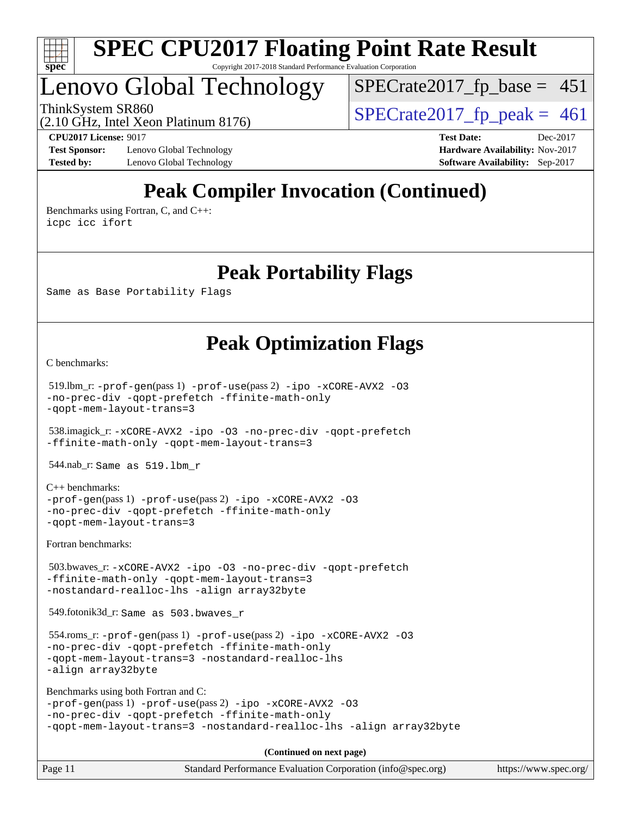

## Lenovo Global Technology

ThinkSystem SR860<br>  $\frac{10.047 \text{ J} \cdot \text{m/s}}{2.10 \text{ GHz}}$  [SPECrate2017\\_fp\\_peak =](http://www.spec.org/auto/cpu2017/Docs/result-fields.html#SPECrate2017fppeak) 461  $SPECTate2017_fp\_base = 451$ 

(2.10 GHz, Intel Xeon Platinum 8176)

**[Test Sponsor:](http://www.spec.org/auto/cpu2017/Docs/result-fields.html#TestSponsor)** Lenovo Global Technology **[Hardware Availability:](http://www.spec.org/auto/cpu2017/Docs/result-fields.html#HardwareAvailability)** Nov-2017 **[Tested by:](http://www.spec.org/auto/cpu2017/Docs/result-fields.html#Testedby)** Lenovo Global Technology **[Software Availability:](http://www.spec.org/auto/cpu2017/Docs/result-fields.html#SoftwareAvailability)** Sep-2017

**[CPU2017 License:](http://www.spec.org/auto/cpu2017/Docs/result-fields.html#CPU2017License)** 9017 **[Test Date:](http://www.spec.org/auto/cpu2017/Docs/result-fields.html#TestDate)** Dec-2017

## **[Peak Compiler Invocation \(Continued\)](http://www.spec.org/auto/cpu2017/Docs/result-fields.html#PeakCompilerInvocation)**

[Benchmarks using Fortran, C, and C++:](http://www.spec.org/auto/cpu2017/Docs/result-fields.html#BenchmarksusingFortranCandCXX) [icpc](http://www.spec.org/cpu2017/results/res2017q4/cpu2017-20171212-01596.flags.html#user_CC_CXX_FCpeak_intel_icpc_18.0_c510b6838c7f56d33e37e94d029a35b4a7bccf4766a728ee175e80a419847e808290a9b78be685c44ab727ea267ec2f070ec5dc83b407c0218cded6866a35d07) [icc](http://www.spec.org/cpu2017/results/res2017q4/cpu2017-20171212-01596.flags.html#user_CC_CXX_FCpeak_intel_icc_18.0_66fc1ee009f7361af1fbd72ca7dcefbb700085f36577c54f309893dd4ec40d12360134090235512931783d35fd58c0460139e722d5067c5574d8eaf2b3e37e92) [ifort](http://www.spec.org/cpu2017/results/res2017q4/cpu2017-20171212-01596.flags.html#user_CC_CXX_FCpeak_intel_ifort_18.0_8111460550e3ca792625aed983ce982f94888b8b503583aa7ba2b8303487b4d8a21a13e7191a45c5fd58ff318f48f9492884d4413fa793fd88dd292cad7027ca)

### **[Peak Portability Flags](http://www.spec.org/auto/cpu2017/Docs/result-fields.html#PeakPortabilityFlags)**

Same as Base Portability Flags

## **[Peak Optimization Flags](http://www.spec.org/auto/cpu2017/Docs/result-fields.html#PeakOptimizationFlags)**

[C benchmarks](http://www.spec.org/auto/cpu2017/Docs/result-fields.html#Cbenchmarks):

```
 519.lbm_r: -prof-gen(pass 1) -prof-use(pass 2) -ipo -xCORE-AVX2 -O3
-no-prec-div -qopt-prefetch -ffinite-math-only
-qopt-mem-layout-trans=3
```
 538.imagick\_r: [-xCORE-AVX2](http://www.spec.org/cpu2017/results/res2017q4/cpu2017-20171212-01596.flags.html#user_peakCOPTIMIZE538_imagick_r_f-xCORE-AVX2) [-ipo](http://www.spec.org/cpu2017/results/res2017q4/cpu2017-20171212-01596.flags.html#user_peakCOPTIMIZE538_imagick_r_f-ipo) [-O3](http://www.spec.org/cpu2017/results/res2017q4/cpu2017-20171212-01596.flags.html#user_peakCOPTIMIZE538_imagick_r_f-O3) [-no-prec-div](http://www.spec.org/cpu2017/results/res2017q4/cpu2017-20171212-01596.flags.html#user_peakCOPTIMIZE538_imagick_r_f-no-prec-div) [-qopt-prefetch](http://www.spec.org/cpu2017/results/res2017q4/cpu2017-20171212-01596.flags.html#user_peakCOPTIMIZE538_imagick_r_f-qopt-prefetch) [-ffinite-math-only](http://www.spec.org/cpu2017/results/res2017q4/cpu2017-20171212-01596.flags.html#user_peakCOPTIMIZE538_imagick_r_f_finite_math_only_cb91587bd2077682c4b38af759c288ed7c732db004271a9512da14a4f8007909a5f1427ecbf1a0fb78ff2a814402c6114ac565ca162485bbcae155b5e4258871) [-qopt-mem-layout-trans=3](http://www.spec.org/cpu2017/results/res2017q4/cpu2017-20171212-01596.flags.html#user_peakCOPTIMIZE538_imagick_r_f-qopt-mem-layout-trans_de80db37974c74b1f0e20d883f0b675c88c3b01e9d123adea9b28688d64333345fb62bc4a798493513fdb68f60282f9a726aa07f478b2f7113531aecce732043)

544.nab\_r: Same as 519.lbm\_r

[C++ benchmarks:](http://www.spec.org/auto/cpu2017/Docs/result-fields.html#CXXbenchmarks)

```
-prof-gen(pass 1) -prof-use(pass 2) -ipo -xCORE-AVX2 -O3
-no-prec-div -qopt-prefetch -ffinite-math-only
-qopt-mem-layout-trans=3
```
[Fortran benchmarks](http://www.spec.org/auto/cpu2017/Docs/result-fields.html#Fortranbenchmarks):

```
 503.bwaves_r: -xCORE-AVX2 -ipo -O3 -no-prec-div -qopt-prefetch
-ffinite-math-only -qopt-mem-layout-trans=3
-nostandard-realloc-lhs -align array32byte
```
549.fotonik3d\_r: Same as 503.bwaves\_r

```
 554.roms_r: -prof-gen(pass 1) -prof-use(pass 2) -ipo -xCORE-AVX2 -O3
-no-prec-div -qopt-prefetch -ffinite-math-only
-qopt-mem-layout-trans=3 -nostandard-realloc-lhs
-align array32byte
```

```
Benchmarks using both Fortran and C: 
-prof-gen(pass 1) -prof-use(pass 2) -ipo -xCORE-AVX2 -O3
-no-prec-div -qopt-prefetch -ffinite-math-only
-qopt-mem-layout-trans=3 -nostandard-realloc-lhs -align array32byte
```
**(Continued on next page)**

| Page 11 | Standard Performance Evaluation Corporation (info@spec.org) |  | https://www.spec.org/ |  |
|---------|-------------------------------------------------------------|--|-----------------------|--|
|---------|-------------------------------------------------------------|--|-----------------------|--|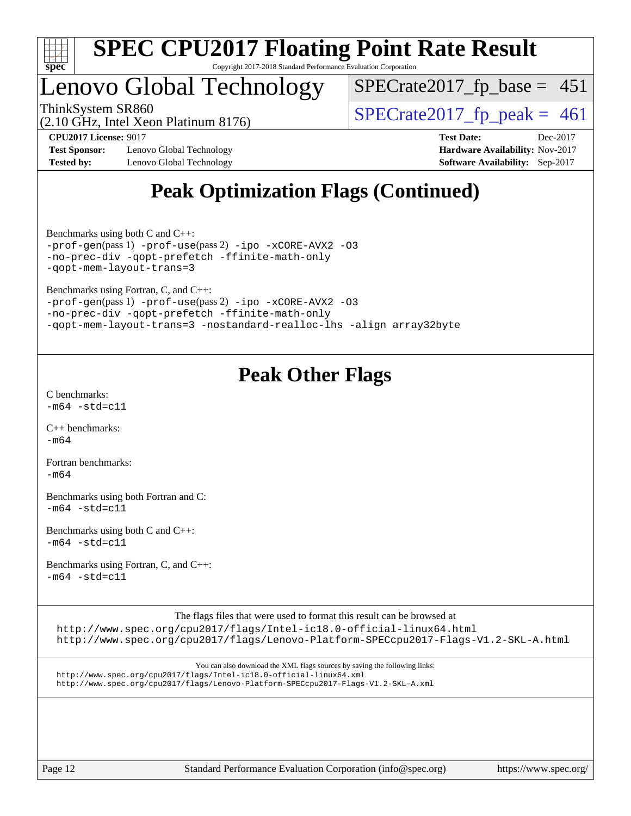

## Lenovo Global Technology

ThinkSystem SR860<br>(2.10 GHz, Intel Xeon Platinum 8176)  $\begin{array}{r} | \text{SPECrate2017\_fp\_peak} = 461 \end{array}$  $SPECTate2017_fp\_base = 451$ 

(2.10 GHz, Intel Xeon Platinum 8176)

**[Test Sponsor:](http://www.spec.org/auto/cpu2017/Docs/result-fields.html#TestSponsor)** Lenovo Global Technology **[Hardware Availability:](http://www.spec.org/auto/cpu2017/Docs/result-fields.html#HardwareAvailability)** Nov-2017 **[Tested by:](http://www.spec.org/auto/cpu2017/Docs/result-fields.html#Testedby)** Lenovo Global Technology **[Software Availability:](http://www.spec.org/auto/cpu2017/Docs/result-fields.html#SoftwareAvailability)** Sep-2017

**[CPU2017 License:](http://www.spec.org/auto/cpu2017/Docs/result-fields.html#CPU2017License)** 9017 **[Test Date:](http://www.spec.org/auto/cpu2017/Docs/result-fields.html#TestDate)** Dec-2017

## **[Peak Optimization Flags \(Continued\)](http://www.spec.org/auto/cpu2017/Docs/result-fields.html#PeakOptimizationFlags)**

[Benchmarks using both C and C++](http://www.spec.org/auto/cpu2017/Docs/result-fields.html#BenchmarksusingbothCandCXX): [-prof-gen](http://www.spec.org/cpu2017/results/res2017q4/cpu2017-20171212-01596.flags.html#user_CC_CXXpeak_prof_gen_5aa4926d6013ddb2a31985c654b3eb18169fc0c6952a63635c234f711e6e63dd76e94ad52365559451ec499a2cdb89e4dc58ba4c67ef54ca681ffbe1461d6b36)(pass 1) [-prof-use](http://www.spec.org/cpu2017/results/res2017q4/cpu2017-20171212-01596.flags.html#user_CC_CXXpeak_prof_use_1a21ceae95f36a2b53c25747139a6c16ca95bd9def2a207b4f0849963b97e94f5260e30a0c64f4bb623698870e679ca08317ef8150905d41bd88c6f78df73f19)(pass 2) [-ipo](http://www.spec.org/cpu2017/results/res2017q4/cpu2017-20171212-01596.flags.html#user_CC_CXXpeak_f-ipo) [-xCORE-AVX2](http://www.spec.org/cpu2017/results/res2017q4/cpu2017-20171212-01596.flags.html#user_CC_CXXpeak_f-xCORE-AVX2) [-O3](http://www.spec.org/cpu2017/results/res2017q4/cpu2017-20171212-01596.flags.html#user_CC_CXXpeak_f-O3) [-no-prec-div](http://www.spec.org/cpu2017/results/res2017q4/cpu2017-20171212-01596.flags.html#user_CC_CXXpeak_f-no-prec-div) [-qopt-prefetch](http://www.spec.org/cpu2017/results/res2017q4/cpu2017-20171212-01596.flags.html#user_CC_CXXpeak_f-qopt-prefetch) [-ffinite-math-only](http://www.spec.org/cpu2017/results/res2017q4/cpu2017-20171212-01596.flags.html#user_CC_CXXpeak_f_finite_math_only_cb91587bd2077682c4b38af759c288ed7c732db004271a9512da14a4f8007909a5f1427ecbf1a0fb78ff2a814402c6114ac565ca162485bbcae155b5e4258871) [-qopt-mem-layout-trans=3](http://www.spec.org/cpu2017/results/res2017q4/cpu2017-20171212-01596.flags.html#user_CC_CXXpeak_f-qopt-mem-layout-trans_de80db37974c74b1f0e20d883f0b675c88c3b01e9d123adea9b28688d64333345fb62bc4a798493513fdb68f60282f9a726aa07f478b2f7113531aecce732043)

[Benchmarks using Fortran, C, and C++:](http://www.spec.org/auto/cpu2017/Docs/result-fields.html#BenchmarksusingFortranCandCXX)

```
-prof-gen(pass 1) -prof-use(pass 2) -ipo -xCORE-AVX2 -O3
-no-prec-div -qopt-prefetch -ffinite-math-only
-qopt-mem-layout-trans=3 -nostandard-realloc-lhs -align array32byte
```
## **[Peak Other Flags](http://www.spec.org/auto/cpu2017/Docs/result-fields.html#PeakOtherFlags)**

[C benchmarks](http://www.spec.org/auto/cpu2017/Docs/result-fields.html#Cbenchmarks):  $-m64 - std = c11$  $-m64 - std = c11$ 

[C++ benchmarks:](http://www.spec.org/auto/cpu2017/Docs/result-fields.html#CXXbenchmarks) [-m64](http://www.spec.org/cpu2017/results/res2017q4/cpu2017-20171212-01596.flags.html#user_CXXpeak_intel_intel64_18.0_af43caccfc8ded86e7699f2159af6efc7655f51387b94da716254467f3c01020a5059329e2569e4053f409e7c9202a7efc638f7a6d1ffb3f52dea4a3e31d82ab)

[Fortran benchmarks](http://www.spec.org/auto/cpu2017/Docs/result-fields.html#Fortranbenchmarks):  $-m64$ 

[Benchmarks using both Fortran and C](http://www.spec.org/auto/cpu2017/Docs/result-fields.html#BenchmarksusingbothFortranandC):  $-m64 - std = c11$  $-m64 - std = c11$ 

[Benchmarks using both C and C++](http://www.spec.org/auto/cpu2017/Docs/result-fields.html#BenchmarksusingbothCandCXX):  $-m64 - std = c11$  $-m64 - std = c11$ 

[Benchmarks using Fortran, C, and C++:](http://www.spec.org/auto/cpu2017/Docs/result-fields.html#BenchmarksusingFortranCandCXX)  $-m64 - std = c11$  $-m64 - std = c11$ 

The flags files that were used to format this result can be browsed at

<http://www.spec.org/cpu2017/flags/Intel-ic18.0-official-linux64.html> <http://www.spec.org/cpu2017/flags/Lenovo-Platform-SPECcpu2017-Flags-V1.2-SKL-A.html>

You can also download the XML flags sources by saving the following links: <http://www.spec.org/cpu2017/flags/Intel-ic18.0-official-linux64.xml> <http://www.spec.org/cpu2017/flags/Lenovo-Platform-SPECcpu2017-Flags-V1.2-SKL-A.xml>